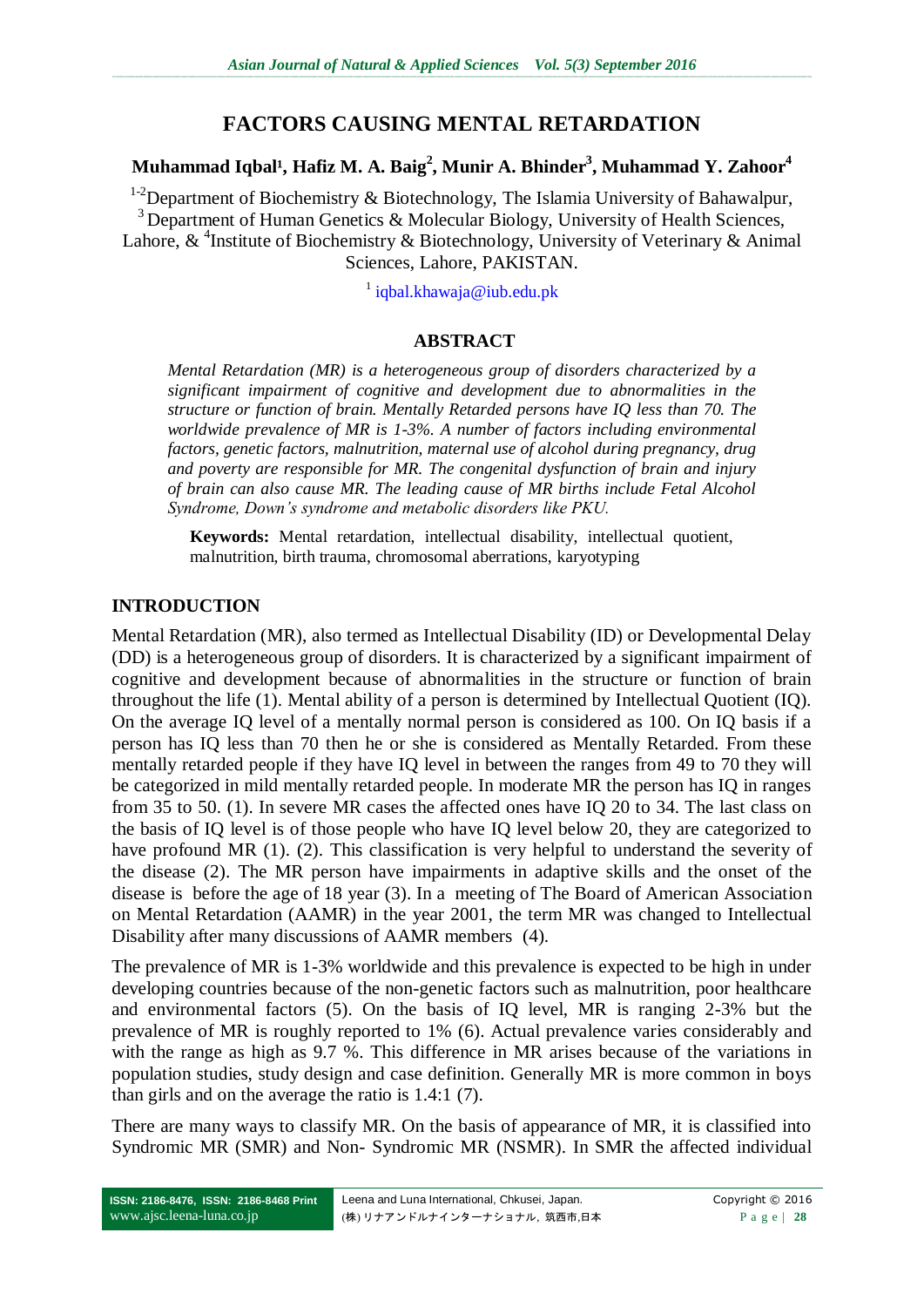# **FACTORS CAUSING MENTAL RETARDATION**

### $\bold{M}$ uhammad Iqbal<sup>1</sup>, Hafiz M. A. Baig $^2$ , Munir A. Bhinder $^3$ , Muhammad Y. Zahoor $^4$

<sup>1-2</sup>Department of Biochemistry & Biotechnology, The Islamia University of Bahawalpur, <sup>3</sup> Department of Human Genetics & Molecular Biology, University of Health Sciences, Lahore, & <sup>4</sup>Institute of Biochemistry & Biotechnology, University of Veterinary & Animal Sciences, Lahore, PAKISTAN.

<sup>1</sup> [iqbal.khawaja@iub.edu.pk](mailto:iqbal.khawaja@iub.edu.pk)

#### **ABSTRACT**

*Mental Retardation (MR) is a heterogeneous group of disorders characterized by a significant impairment of cognitive and development due to abnormalities in the structure or function of brain. Mentally Retarded persons have IQ less than 70. The worldwide prevalence of MR is 1-3%. A number of factors including environmental factors, genetic factors, malnutrition, maternal use of alcohol during pregnancy, drug and poverty are responsible for MR. The congenital dysfunction of brain and injury of brain can also cause MR. The leading cause of MR births include Fetal Alcohol Syndrome, Down's syndrome and metabolic disorders like PKU.* 

**Keywords:** Mental retardation, intellectual disability, intellectual quotient, malnutrition, birth trauma, chromosomal aberrations, karyotyping

#### **INTRODUCTION**

Mental Retardation (MR), also termed as Intellectual Disability (ID) or Developmental Delay (DD) is a heterogeneous group of disorders. It is characterized by a significant impairment of cognitive and development because of abnormalities in the structure or function of brain throughout the life (1). Mental ability of a person is determined by Intellectual Quotient (IQ). On the average IQ level of a mentally normal person is considered as 100. On IQ basis if a person has IQ less than 70 then he or she is considered as Mentally Retarded. From these mentally retarded people if they have IQ level in between the ranges from 49 to 70 they will be categorized in mild mentally retarded people. In moderate MR the person has IQ in ranges from 35 to 50. (1). In severe MR cases the affected ones have IQ 20 to 34. The last class on the basis of IQ level is of those people who have IQ level below 20, they are categorized to have profound MR (1). (2). This classification is very helpful to understand the severity of the disease (2). The MR person have impairments in adaptive skills and the onset of the disease is before the age of 18 year (3). In a meeting of The Board of American Association on Mental Retardation (AAMR) in the year 2001, the term MR was changed to Intellectual Disability after many discussions of AAMR members [\(4\)](#page-6-0).

The prevalence of MR is 1-3% worldwide and this prevalence is expected to be high in under developing countries because of the non-genetic factors such as malnutrition, poor healthcare and environmental factors (5). On the basis of IQ level, MR is ranging 2-3% but the prevalence of MR is roughly reported to 1% (6). Actual prevalence varies considerably and with the range as high as 9.7 %. This difference in MR arises because of the variations in population studies, study design and case definition. Generally MR is more common in boys than girls and on the average the ratio is 1.4:1 (7).

There are many ways to classify MR. On the basis of appearance of MR, it is classified into Syndromic MR (SMR) and Non- Syndromic MR (NSMR). In SMR the affected individual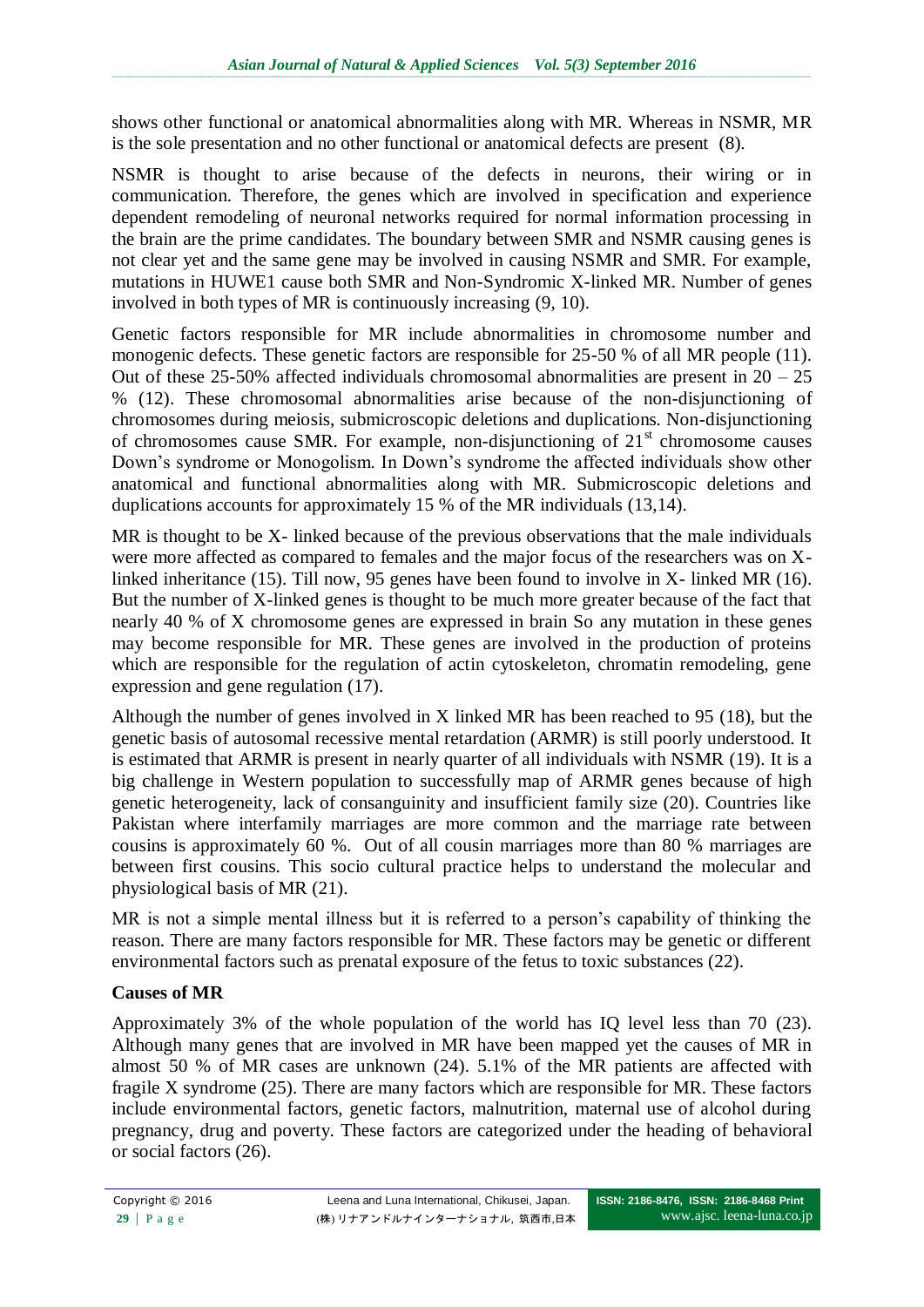shows other functional or anatomical abnormalities along with MR. Whereas in NSMR, MR is the sole presentation and no other functional or anatomical defects are present (8).

NSMR is thought to arise because of the defects in neurons, their wiring or in communication. Therefore, the genes which are involved in specification and experience dependent remodeling of neuronal networks required for normal information processing in the brain are the prime candidates. The boundary between SMR and NSMR causing genes is not clear yet and the same gene may be involved in causing NSMR and SMR. For example, mutations in HUWE1 cause both SMR and Non-Syndromic X-linked MR. Number of genes involved in both types of MR is continuously increasing (9, 10).

Genetic factors responsible for MR include abnormalities in chromosome number and monogenic defects. These genetic factors are responsible for 25-50 % of all MR people (11). Out of these  $25-50\%$  affected individuals chromosomal abnormalities are present in  $20 - 25$ % (12). These chromosomal abnormalities arise because of the non-disjunctioning of chromosomes during meiosis, submicroscopic deletions and duplications. Non-disjunctioning of chromosomes cause SMR. For example, non-disjunctioning of  $21<sup>st</sup>$  chromosome causes Down's syndrome or Monogolism. In Down's syndrome the affected individuals show other anatomical and functional abnormalities along with MR. Submicroscopic deletions and duplications accounts for approximately 15 % of the MR individuals (13,14).

MR is thought to be X- linked because of the previous observations that the male individuals were more affected as compared to females and the major focus of the researchers was on Xlinked inheritance (15). Till now, 95 genes have been found to involve in X- linked MR (16). But the number of X-linked genes is thought to be much more greater because of the fact that nearly 40 % of X chromosome genes are expressed in brain So any mutation in these genes may become responsible for MR. These genes are involved in the production of proteins which are responsible for the regulation of actin cytoskeleton, chromatin remodeling, gene expression and gene regulation (17).

Although the number of genes involved in X linked MR has been reached to 95 (18), but the genetic basis of autosomal recessive mental retardation (ARMR) is still poorly understood. It is estimated that ARMR is present in nearly quarter of all individuals with NSMR (19). It is a big challenge in Western population to successfully map of ARMR genes because of high genetic heterogeneity, lack of consanguinity and insufficient family size (20). Countries like Pakistan where interfamily marriages are more common and the marriage rate between cousins is approximately 60 %. Out of all cousin marriages more than 80 % marriages are between first cousins. This socio cultural practice helps to understand the molecular and physiological basis of MR [\(21\)](#page-8-0).

MR is not a simple mental illness but it is referred to a person's capability of thinking the reason. There are many factors responsible for MR. These factors may be genetic or different environmental factors such as prenatal exposure of the fetus to toxic substances (22).

## **Causes of MR**

Approximately 3% of the whole population of the world has IQ level less than 70 (23). Although many genes that are involved in MR have been mapped yet the causes of MR in almost 50 % of MR cases are unknown [\(24\)](#page-8-1). 5.1% of the MR patients are affected with fragile X syndrome (25). There are many factors which are responsible for MR. These factors include environmental factors, genetic factors, malnutrition, maternal use of alcohol during pregnancy, drug and poverty. These factors are categorized under the heading of behavioral or social factors (26).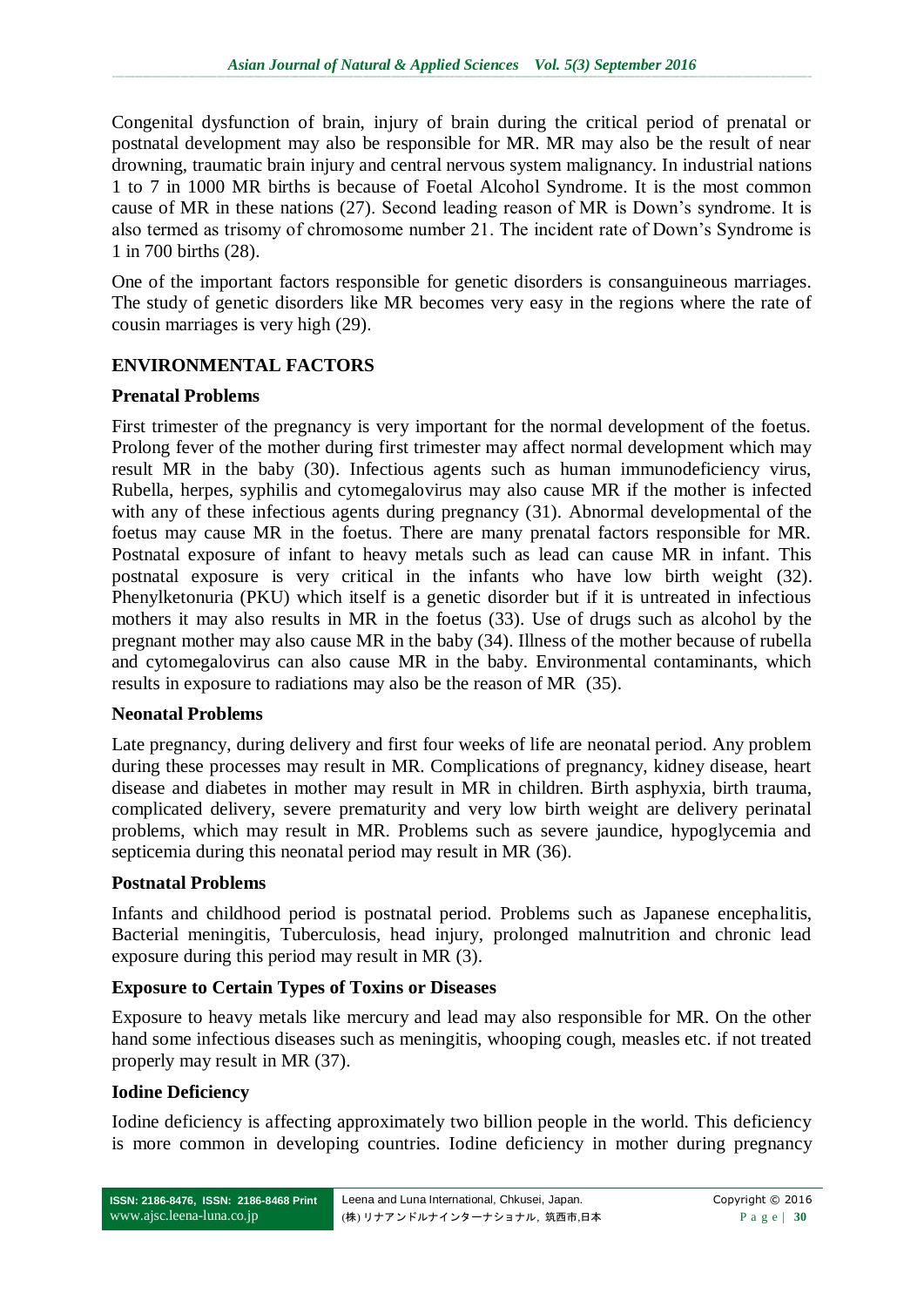Congenital dysfunction of brain, injury of brain during the critical period of prenatal or postnatal development may also be responsible for MR. MR may also be the result of near drowning, traumatic brain injury and central nervous system malignancy. In industrial nations 1 to 7 in 1000 MR births is because of Foetal Alcohol Syndrome. It is the most common cause of MR in these nations (27). Second leading reason of MR is Down's syndrome. It is also termed as trisomy of chromosome number 21. The incident rate of Down's Syndrome is 1 in 700 births (28).

One of the important factors responsible for genetic disorders is consanguineous marriages. The study of genetic disorders like MR becomes very easy in the regions where the rate of cousin marriages is very high (29).

### **ENVIRONMENTAL FACTORS**

#### **Prenatal Problems**

First trimester of the pregnancy is very important for the normal development of the foetus. Prolong fever of the mother during first trimester may affect normal development which may result MR in the baby (30). Infectious agents such as human immunodeficiency virus, Rubella, herpes, syphilis and cytomegalovirus may also cause MR if the mother is infected with any of these infectious agents during pregnancy (31). Abnormal developmental of the foetus may cause MR in the foetus. There are many prenatal factors responsible for MR. Postnatal exposure of infant to heavy metals such as lead can cause MR in infant. This postnatal exposure is very critical in the infants who have low birth weight (32). Phenylketonuria (PKU) which itself is a genetic disorder but if it is untreated in infectious mothers it may also results in MR in the foetus (33). Use of drugs such as alcohol by the pregnant mother may also cause MR in the baby (34). Illness of the mother because of rubella and cytomegalovirus can also cause MR in the baby. Environmental contaminants, which results in exposure to radiations may also be the reason of MR (35).

#### **Neonatal Problems**

Late pregnancy, during delivery and first four weeks of life are neonatal period. Any problem during these processes may result in MR. Complications of pregnancy, kidney disease, heart disease and diabetes in mother may result in MR in children. Birth asphyxia, birth trauma, complicated delivery, severe prematurity and very low birth weight are delivery perinatal problems, which may result in MR. Problems such as severe jaundice, hypoglycemia and septicemia during this neonatal period may result in MR (36).

#### **Postnatal Problems**

Infants and childhood period is postnatal period. Problems such as Japanese encephalitis, Bacterial meningitis, Tuberculosis, head injury, prolonged malnutrition and chronic lead exposure during this period may result in MR (3).

#### **Exposure to Certain Types of Toxins or Diseases**

Exposure to heavy metals like mercury and lead may also responsible for MR. On the other hand some infectious diseases such as meningitis, whooping cough, measles etc. if not treated properly may result in MR (37).

#### **Iodine Deficiency**

Iodine deficiency is affecting approximately two billion people in the world. This deficiency is more common in developing countries. Iodine deficiency in mother during pregnancy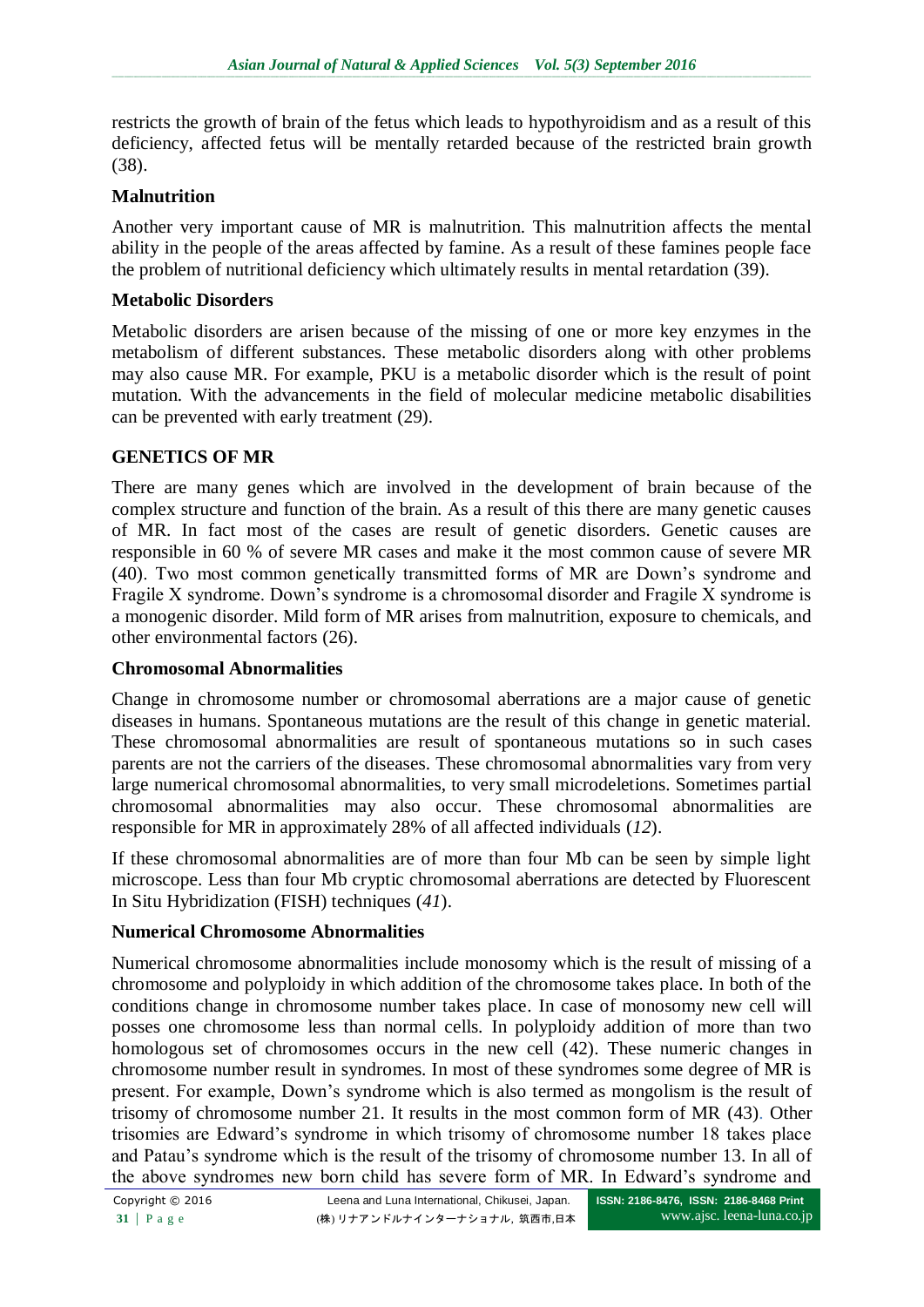restricts the growth of brain of the fetus which leads to hypothyroidism and as a result of this deficiency, affected fetus will be mentally retarded because of the restricted brain growth (38).

### **Malnutrition**

Another very important cause of MR is malnutrition. This malnutrition affects the mental ability in the people of the areas affected by famine. As a result of these famines people face the problem of nutritional deficiency which ultimately results in mental retardation (39).

### **Metabolic Disorders**

Metabolic disorders are arisen because of the missing of one or more key enzymes in the metabolism of different substances. These metabolic disorders along with other problems may also cause MR. For example, PKU is a metabolic disorder which is the result of point mutation. With the advancements in the field of molecular medicine metabolic disabilities can be prevented with early treatment (29).

### **GENETICS OF MR**

There are many genes which are involved in the development of brain because of the complex structure and function of the brain. As a result of this there are many genetic causes of MR. In fact most of the cases are result of genetic disorders. Genetic causes are responsible in 60 % of severe MR cases and make it the most common cause of severe MR (40). Two most common genetically transmitted forms of MR are Down's syndrome and Fragile X syndrome. Down's syndrome is a chromosomal disorder and Fragile X syndrome is a monogenic disorder. Mild form of MR arises from malnutrition, exposure to chemicals, and other environmental factors (26).

## **Chromosomal Abnormalities**

Change in chromosome number or chromosomal aberrations are a major cause of genetic diseases in humans. Spontaneous mutations are the result of this change in genetic material. These chromosomal abnormalities are result of spontaneous mutations so in such cases parents are not the carriers of the diseases. These chromosomal abnormalities vary from very large numerical chromosomal abnormalities, to very small microdeletions. Sometimes partial chromosomal abnormalities may also occur. These chromosomal abnormalities are responsible for MR in approximately 28% of all affected individuals (*12*).

If these chromosomal abnormalities are of more than four Mb can be seen by simple light microscope. Less than four Mb cryptic chromosomal aberrations are detected by Fluorescent In Situ Hybridization (FISH) techniques (*41*).

## **Numerical Chromosome Abnormalities**

Numerical chromosome abnormalities include monosomy which is the result of missing of a chromosome and polyploidy in which addition of the chromosome takes place. In both of the conditions change in chromosome number takes place. In case of monosomy new cell will posses one chromosome less than normal cells. In polyploidy addition of more than two homologous set of chromosomes occurs in the new cell (42). These numeric changes in chromosome number result in syndromes. In most of these syndromes some degree of MR is present. For example, Down's syndrome which is also termed as mongolism is the result of trisomy of chromosome number 21. It results in the most common form of MR (43). Other trisomies are Edward's syndrome in which trisomy of chromosome number 18 takes place and Patau's syndrome which is the result of the trisomy of chromosome number 13. In all of the above syndromes new born child has severe form of MR. In Edward's syndrome and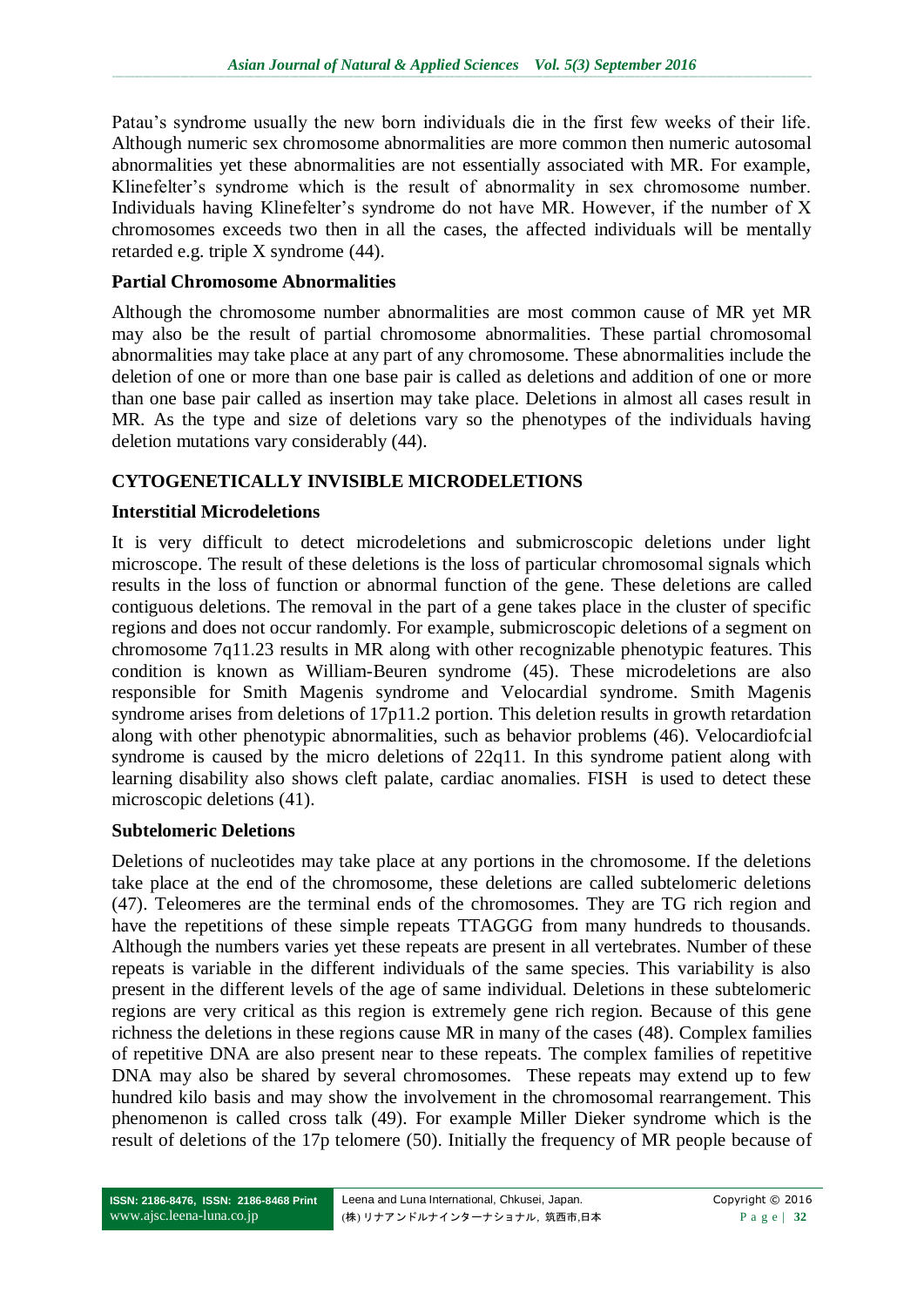Patau's syndrome usually the new born individuals die in the first few weeks of their life. Although numeric sex chromosome abnormalities are more common then numeric autosomal abnormalities yet these abnormalities are not essentially associated with MR. For example, Klinefelter's syndrome which is the result of abnormality in sex chromosome number. Individuals having Klinefelter's syndrome do not have MR. However, if the number of X chromosomes exceeds two then in all the cases, the affected individuals will be mentally retarded e.g. triple X syndrome (44).

### **Partial Chromosome Abnormalities**

Although the chromosome number abnormalities are most common cause of MR yet MR may also be the result of partial chromosome abnormalities. These partial chromosomal abnormalities may take place at any part of any chromosome. These abnormalities include the deletion of one or more than one base pair is called as deletions and addition of one or more than one base pair called as insertion may take place. Deletions in almost all cases result in MR. As the type and size of deletions vary so the phenotypes of the individuals having deletion mutations vary considerably (44).

# **CYTOGENETICALLY INVISIBLE MICRODELETIONS**

### **Interstitial Microdeletions**

It is very difficult to detect microdeletions and submicroscopic deletions under light microscope. The result of these deletions is the loss of particular chromosomal signals which results in the loss of function or abnormal function of the gene. These deletions are called contiguous deletions. The removal in the part of a gene takes place in the cluster of specific regions and does not occur randomly. For example, submicroscopic deletions of a segment on chromosome 7q11.23 results in MR along with other recognizable phenotypic features. This condition is known as William-Beuren syndrome (45). These microdeletions are also responsible for Smith Magenis syndrome and Velocardial syndrome. Smith Magenis syndrome arises from deletions of 17p11.2 portion. This deletion results in growth retardation along with other phenotypic abnormalities, such as behavior problems (46). Velocardiofcial syndrome is caused by the micro deletions of 22q11. In this syndrome patient along with learning disability also shows cleft palate, cardiac anomalies. FISH is used to detect these microscopic deletions (41).

#### **Subtelomeric Deletions**

Deletions of nucleotides may take place at any portions in the chromosome. If the deletions take place at the end of the chromosome, these deletions are called subtelomeric deletions (47). Teleomeres are the terminal ends of the chromosomes. They are TG rich region and have the repetitions of these simple repeats TTAGGG from many hundreds to thousands. Although the numbers varies yet these repeats are present in all vertebrates. Number of these repeats is variable in the different individuals of the same species. This variability is also present in the different levels of the age of same individual. Deletions in these subtelomeric regions are very critical as this region is extremely gene rich region. Because of this gene richness the deletions in these regions cause MR in many of the cases (48). Complex families of repetitive DNA are also present near to these repeats. The complex families of repetitive DNA may also be shared by several chromosomes. These repeats may extend up to few hundred kilo basis and may show the involvement in the chromosomal rearrangement. This phenomenon is called cross talk (49). For example Miller Dieker syndrome which is the result of deletions of the 17p telomere (50). Initially the frequency of MR people because of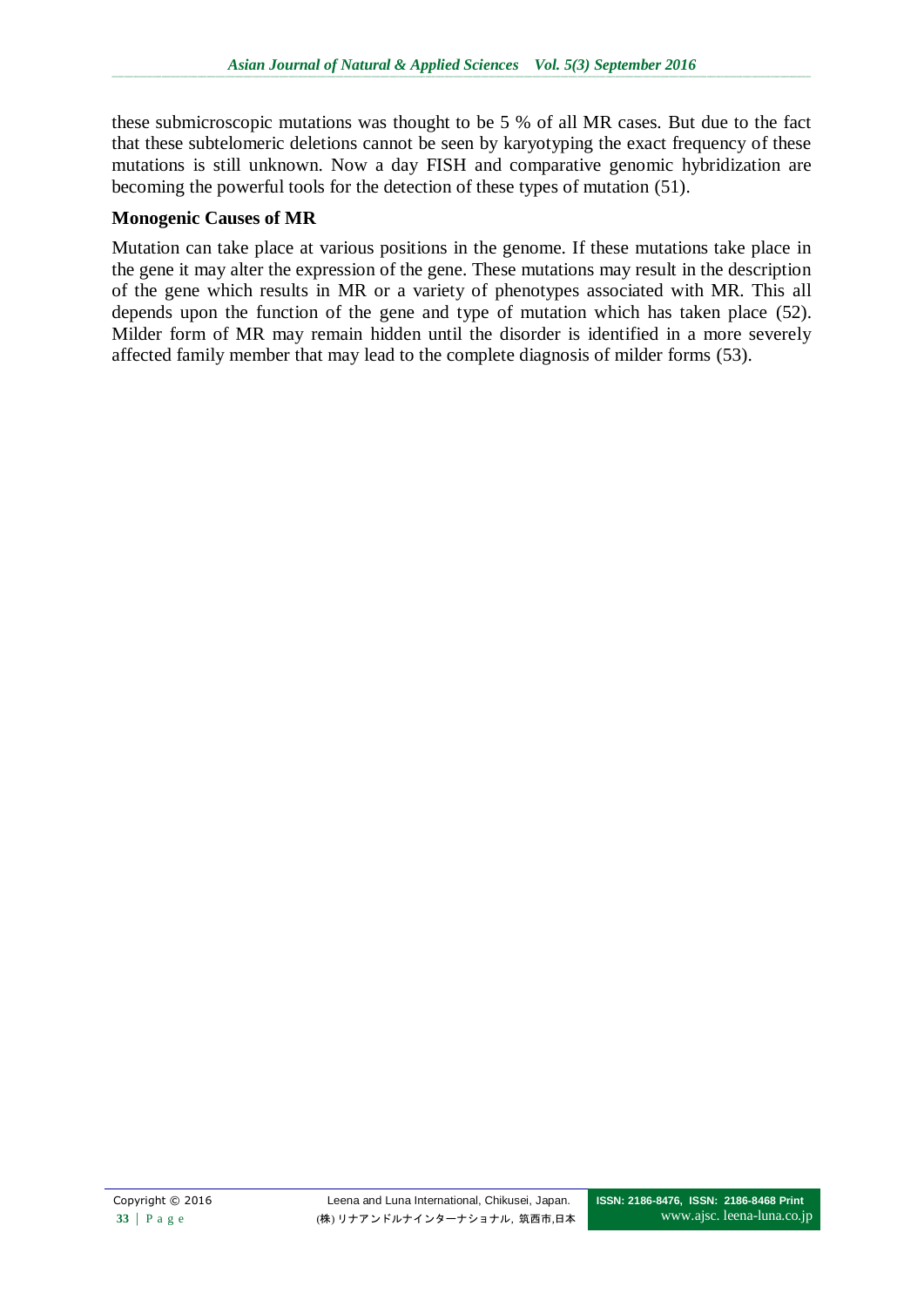these submicroscopic mutations was thought to be 5 % of all MR cases. But due to the fact that these subtelomeric deletions cannot be seen by karyotyping the exact frequency of these mutations is still unknown. Now a day FISH and comparative genomic hybridization are becoming the powerful tools for the detection of these types of mutation (51).

#### **Monogenic Causes of MR**

Mutation can take place at various positions in the genome. If these mutations take place in the gene it may alter the expression of the gene. These mutations may result in the description of the gene which results in MR or a variety of phenotypes associated with MR. This all depends upon the function of the gene and type of mutation which has taken place (52). Milder form of MR may remain hidden until the disorder is identified in a more severely affected family member that may lead to the complete diagnosis of milder forms [\(53\)](#page-9-0).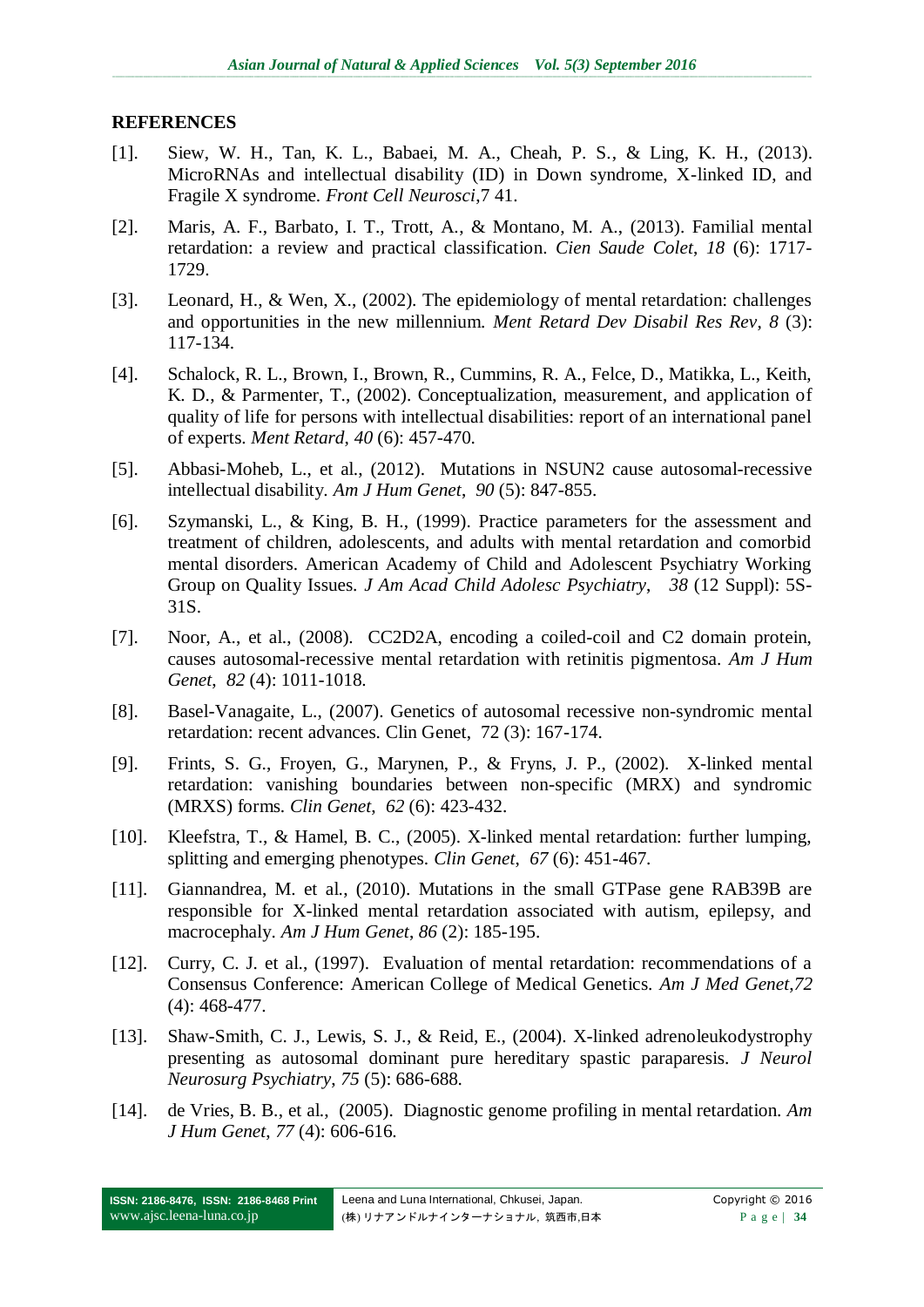#### **REFERENCES**

- [1]. Siew, W. H., Tan, K. L., Babaei, M. A., Cheah, P. S., & Ling, K. H., (2013). MicroRNAs and intellectual disability (ID) in Down syndrome, X-linked ID, and Fragile X syndrome. *Front Cell Neurosci*,7 41.
- [2]. Maris, A. F., Barbato, I. T., Trott, A., & Montano, M. A., (2013). Familial mental retardation: a review and practical classification. *Cien Saude Colet*, *18* (6): 1717- 1729.
- [3]. Leonard, H., & Wen, X., (2002). The epidemiology of mental retardation: challenges and opportunities in the new millennium. *Ment Retard Dev Disabil Res Rev*, *8* (3): 117-134.
- <span id="page-6-0"></span>[4]. Schalock, R. L., Brown, I., Brown, R., Cummins, R. A., Felce, D., Matikka, L., Keith, K. D., & Parmenter, T., (2002). Conceptualization, measurement, and application of quality of life for persons with intellectual disabilities: report of an international panel of experts. *Ment Retard*, *40* (6): 457-470.
- [5]. Abbasi-Moheb, L., et al., (2012). Mutations in NSUN2 cause autosomal-recessive intellectual disability. *Am J Hum Genet*, *90* (5): 847-855.
- [6]. Szymanski, L., & King, B. H., (1999). Practice parameters for the assessment and treatment of children, adolescents, and adults with mental retardation and comorbid mental disorders. American Academy of Child and Adolescent Psychiatry Working Group on Quality Issues. *J Am Acad Child Adolesc Psychiatry*, *38* (12 Suppl): 5S-31S.
- [7]. Noor, A., et al., (2008). CC2D2A, encoding a coiled-coil and C2 domain protein, causes autosomal-recessive mental retardation with retinitis pigmentosa. *Am J Hum Genet*, *82* (4): 1011-1018.
- [8]. Basel-Vanagaite, L., (2007). Genetics of autosomal recessive non-syndromic mental retardation: recent advances. Clin Genet, 72 (3): 167-174.
- [9]. Frints, S. G., Froyen, G., Marynen, P., & Fryns, J. P., (2002). X-linked mental retardation: vanishing boundaries between non-specific (MRX) and syndromic (MRXS) forms. *Clin Genet*, *62* (6): 423-432.
- [10]. Kleefstra, T., & Hamel, B. C., (2005). X-linked mental retardation: further lumping, splitting and emerging phenotypes. *Clin Genet*, *67* (6): 451-467.
- [11]. Giannandrea, M. et al., (2010). Mutations in the small GTPase gene RAB39B are responsible for X-linked mental retardation associated with autism, epilepsy, and macrocephaly. *Am J Hum Genet*, *86* (2): 185-195.
- [12]. Curry, C. J. et al., (1997). Evaluation of mental retardation: recommendations of a Consensus Conference: American College of Medical Genetics. *Am J Med Genet*,*72* (4): 468-477.
- [13]. Shaw-Smith, C. J., Lewis, S. J., & Reid, E., (2004). X-linked adrenoleukodystrophy presenting as autosomal dominant pure hereditary spastic paraparesis. *J Neurol Neurosurg Psychiatry*, *75* (5): 686-688.
- [14]. de Vries, B. B., et al., (2005). Diagnostic genome profiling in mental retardation. *Am J Hum Genet*, *77* (4): 606-616.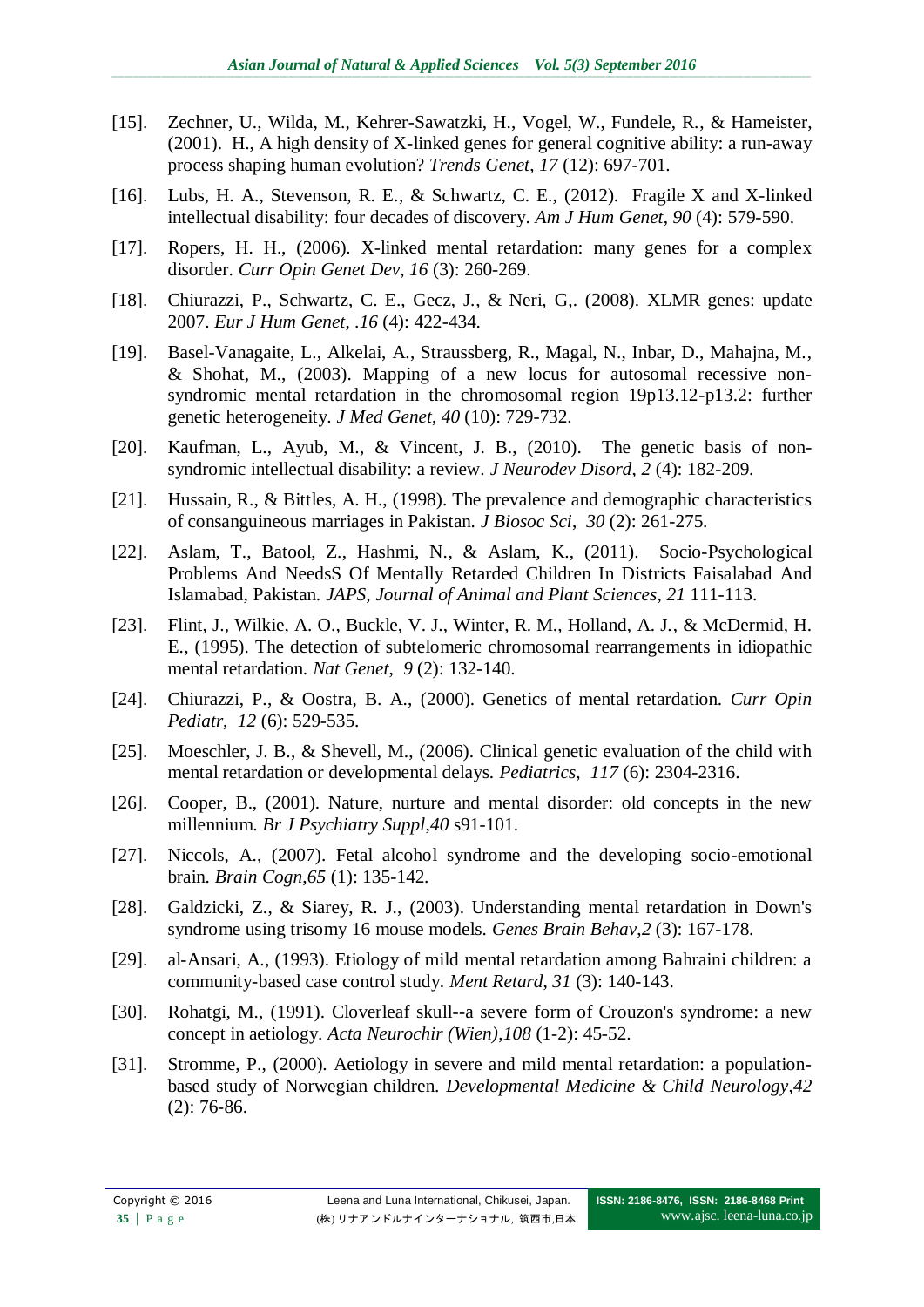- [15]. Zechner, U., Wilda, M., Kehrer-Sawatzki, H., Vogel, W., Fundele, R., & Hameister, (2001). H., A high density of X-linked genes for general cognitive ability: a run-away process shaping human evolution? *Trends Genet*, *17* (12): 697-701.
- [16]. Lubs, H. A., Stevenson, R. E., & Schwartz, C. E., (2012). Fragile X and X-linked intellectual disability: four decades of discovery. *Am J Hum Genet*, *90* (4): 579-590.
- [17]. Ropers, H. H., (2006). X-linked mental retardation: many genes for a complex disorder. *Curr Opin Genet Dev*, *16* (3): 260-269.
- [18]. Chiurazzi, P., Schwartz, C. E., Gecz, J., & Neri, G,. (2008). XLMR genes: update 2007. *Eur J Hum Genet*, .*16* (4): 422-434.
- [19]. Basel-Vanagaite, L., Alkelai, A., Straussberg, R., Magal, N., Inbar, D., Mahajna, M., & Shohat, M., (2003). Mapping of a new locus for autosomal recessive nonsyndromic mental retardation in the chromosomal region 19p13.12-p13.2: further genetic heterogeneity. *J Med Genet*, *40* (10): 729-732.
- [20]. Kaufman, L., Ayub, M., & Vincent, J. B., (2010). The genetic basis of nonsyndromic intellectual disability: a review. *J Neurodev Disord*, *2* (4): 182-209.
- [21]. Hussain, R., & Bittles, A. H., (1998). The prevalence and demographic characteristics of consanguineous marriages in Pakistan. *J Biosoc Sci*, *30* (2): 261-275.
- [22]. Aslam, T., Batool, Z., Hashmi, N., & Aslam, K., (2011). Socio-Psychological Problems And NeedsS Of Mentally Retarded Children In Districts Faisalabad And Islamabad, Pakistan. *JAPS, Journal of Animal and Plant Sciences*, *21* 111-113.
- [23]. Flint, J., Wilkie, A. O., Buckle, V. J., Winter, R. M., Holland, A. J., & McDermid, H. E., (1995). The detection of subtelomeric chromosomal rearrangements in idiopathic mental retardation. *Nat Genet*, *9* (2): 132-140.
- [24]. Chiurazzi, P., & Oostra, B. A., (2000). Genetics of mental retardation. *Curr Opin Pediatr*, *12* (6): 529-535.
- [25]. Moeschler, J. B., & Shevell, M., (2006). Clinical genetic evaluation of the child with mental retardation or developmental delays. *Pediatrics*, *117* (6): 2304-2316.
- [26]. Cooper, B., (2001). Nature, nurture and mental disorder: old concepts in the new millennium. *Br J Psychiatry Suppl*,*40* s91-101.
- [27]. Niccols, A., (2007). Fetal alcohol syndrome and the developing socio-emotional brain. *Brain Cogn*,*65* (1): 135-142.
- [28]. Galdzicki, Z., & Siarey, R. J., (2003). Understanding mental retardation in Down's syndrome using trisomy 16 mouse models. *Genes Brain Behav*,*2* (3): 167-178.
- [29]. al-Ansari, A., (1993). Etiology of mild mental retardation among Bahraini children: a community-based case control study. *Ment Retard*, *31* (3): 140-143.
- [30]. Rohatgi, M., (1991). Cloverleaf skull--a severe form of Crouzon's syndrome: a new concept in aetiology. *Acta Neurochir (Wien)*,*108* (1-2): 45-52.
- [31]. Stromme, P., (2000). Aetiology in severe and mild mental retardation: a populationbased study of Norwegian children. *Developmental Medicine & Child Neurology*,*42* (2): 76-86.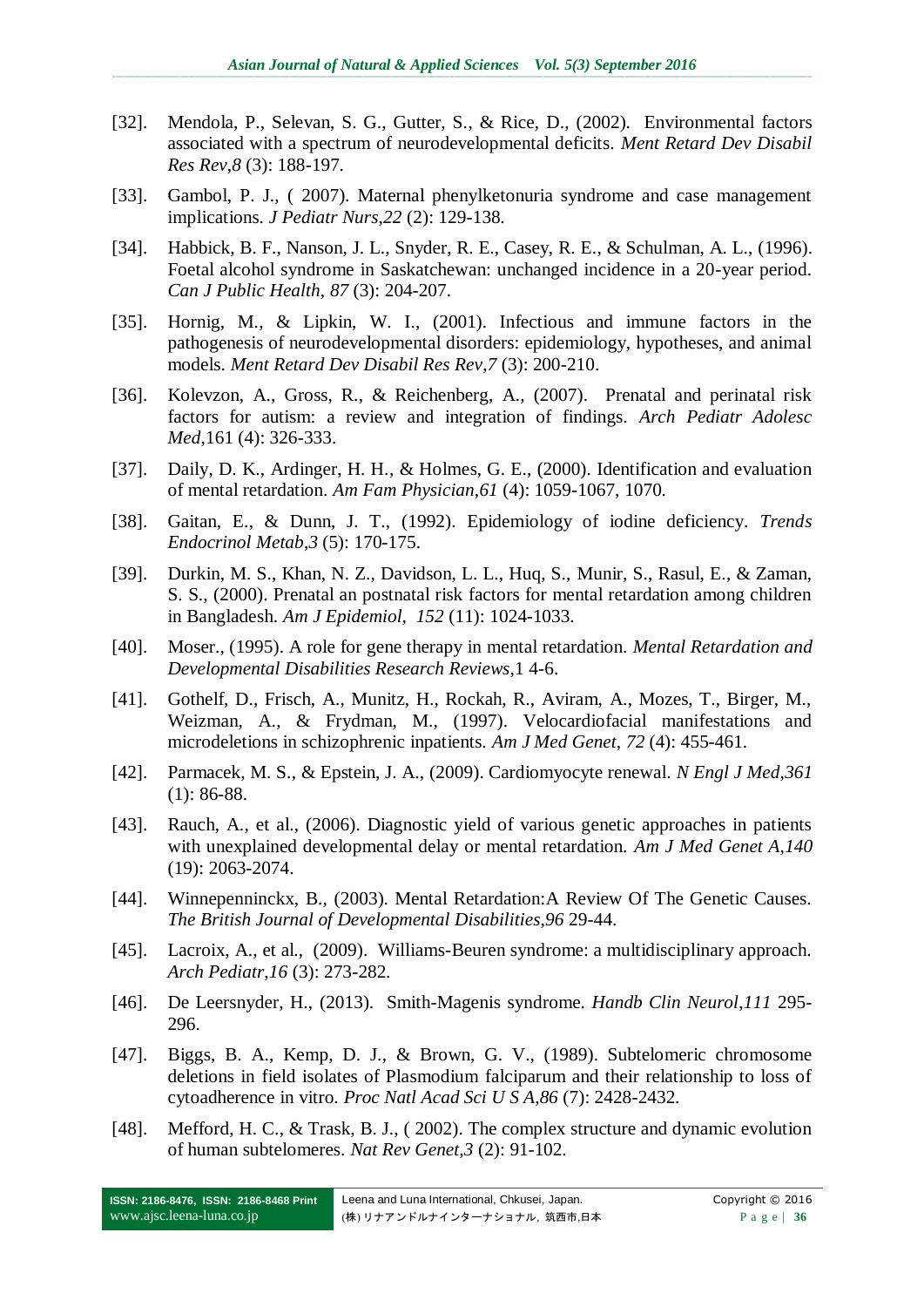- [32]. Mendola, P., Selevan, S. G., Gutter, S., & Rice, D., (2002). Environmental factors associated with a spectrum of neurodevelopmental deficits. *Ment Retard Dev Disabil Res Rev*,*8* (3): 188-197.
- [33]. Gambol, P. J., ( 2007). Maternal phenylketonuria syndrome and case management implications. *J Pediatr Nurs*,*22* (2): 129-138.
- <span id="page-8-0"></span>[34]. Habbick, B. F., Nanson, J. L., Snyder, R. E., Casey, R. E., & Schulman, A. L., (1996). Foetal alcohol syndrome in Saskatchewan: unchanged incidence in a 20-year period. *Can J Public Health*, *87* (3): 204-207.
- [35]. Hornig, M., & Lipkin, W. I., (2001). Infectious and immune factors in the pathogenesis of neurodevelopmental disorders: epidemiology, hypotheses, and animal models. *Ment Retard Dev Disabil Res Rev*,*7* (3): 200-210.
- [36]. Kolevzon, A., Gross, R., & Reichenberg, A., (2007). Prenatal and perinatal risk factors for autism: a review and integration of findings. *Arch Pediatr Adolesc Med*,161 (4): 326-333.
- [37]. Daily, D. K., Ardinger, H. H., & Holmes, G. E., (2000). Identification and evaluation of mental retardation. *Am Fam Physician*,*61* (4): 1059-1067, 1070.
- [38]. Gaitan, E., & Dunn, J. T., (1992). Epidemiology of iodine deficiency. *Trends Endocrinol Metab*,*3* (5): 170-175.
- [39]. Durkin, M. S., Khan, N. Z., Davidson, L. L., Huq, S., Munir, S., Rasul, E., & Zaman, S. S., (2000). Prenatal an postnatal risk factors for mental retardation among children in Bangladesh. *Am J Epidemiol*, *152* (11): 1024-1033.
- [40]. Moser., (1995). A role for gene therapy in mental retardation. *Mental Retardation and Developmental Disabilities Research Reviews*,1 4-6.
- [41]. Gothelf, D., Frisch, A., Munitz, H., Rockah, R., Aviram, A., Mozes, T., Birger, M., Weizman, A., & Frydman, M., (1997). Velocardiofacial manifestations and microdeletions in schizophrenic inpatients. *Am J Med Genet*, *72* (4): 455-461.
- [42]. Parmacek, M. S., & Epstein, J. A., (2009). Cardiomyocyte renewal. *N Engl J Med*,*361* (1): 86-88.
- [43]. Rauch, A., et al., (2006). Diagnostic yield of various genetic approaches in patients with unexplained developmental delay or mental retardation. *Am J Med Genet A*,*140* (19): 2063-2074.
- [44]. Winnepenninckx, B., (2003). Mental Retardation:A Review Of The Genetic Causes. *The British Journal of Developmental Disabilities*,*96* 29-44.
- [45]. Lacroix, A., et al., (2009). Williams-Beuren syndrome: a multidisciplinary approach. *Arch Pediatr*,*16* (3): 273-282.
- [46]. De Leersnyder, H., (2013). Smith-Magenis syndrome. *Handb Clin Neurol*,*111* 295- 296.
- <span id="page-8-1"></span>[47]. Biggs, B. A., Kemp, D. J., & Brown, G. V., (1989). Subtelomeric chromosome deletions in field isolates of Plasmodium falciparum and their relationship to loss of cytoadherence in vitro. *Proc Natl Acad Sci U S A*,*86* (7): 2428-2432.
- [48]. Mefford, H. C., & Trask, B. J., (2002). The complex structure and dynamic evolution of human subtelomeres. *Nat Rev Genet*,*3* (2): 91-102.